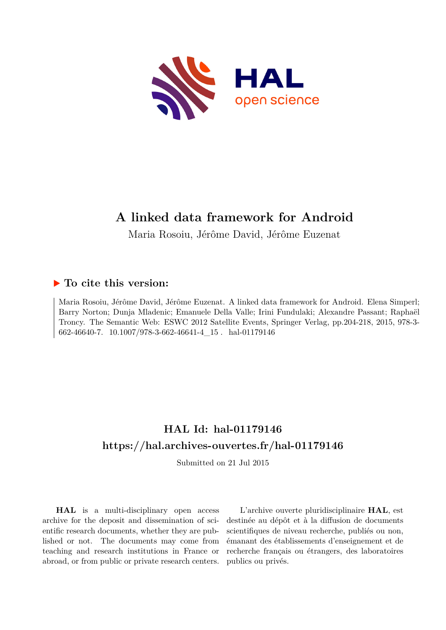

# **A linked data framework for Android**

Maria Rosoiu, Jérôme David, Jérôme Euzenat

## **To cite this version:**

Maria Rosoiu, Jérôme David, Jérôme Euzenat. A linked data framework for Android. Elena Simperl; Barry Norton; Dunja Mladenic; Emanuele Della Valle; Irini Fundulaki; Alexandre Passant; Raphaël Troncy. The Semantic Web: ESWC 2012 Satellite Events, Springer Verlag, pp.204-218, 2015, 978-3- 662-46640-7. 10.1007/978-3-662-46641-4 15. hal-01179146

# **HAL Id: hal-01179146 <https://hal.archives-ouvertes.fr/hal-01179146>**

Submitted on 21 Jul 2015

**HAL** is a multi-disciplinary open access archive for the deposit and dissemination of scientific research documents, whether they are published or not. The documents may come from teaching and research institutions in France or abroad, or from public or private research centers.

L'archive ouverte pluridisciplinaire **HAL**, est destinée au dépôt et à la diffusion de documents scientifiques de niveau recherche, publiés ou non, émanant des établissements d'enseignement et de recherche français ou étrangers, des laboratoires publics ou privés.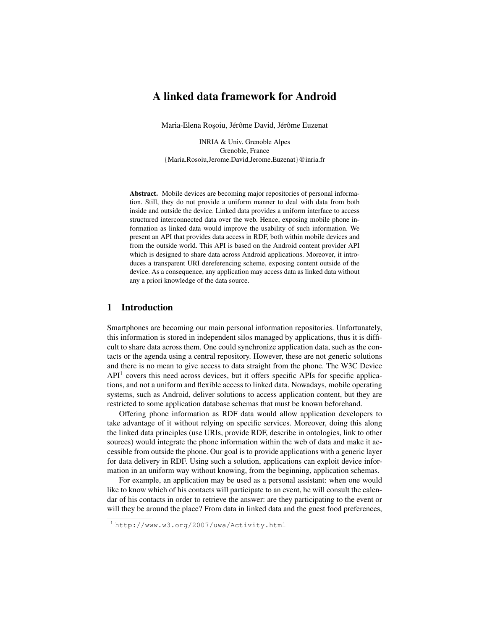## A linked data framework for Android

Maria-Elena Ro¸soiu, Jérôme David, Jérôme Euzenat

INRIA & Univ. Grenoble Alpes Grenoble, France {Maria.Rosoiu,Jerome.David,Jerome.Euzenat}@inria.fr

Abstract. Mobile devices are becoming major repositories of personal information. Still, they do not provide a uniform manner to deal with data from both inside and outside the device. Linked data provides a uniform interface to access structured interconnected data over the web. Hence, exposing mobile phone information as linked data would improve the usability of such information. We present an API that provides data access in RDF, both within mobile devices and from the outside world. This API is based on the Android content provider API which is designed to share data across Android applications. Moreover, it introduces a transparent URI dereferencing scheme, exposing content outside of the device. As a consequence, any application may access data as linked data without any a priori knowledge of the data source.

## 1 Introduction

Smartphones are becoming our main personal information repositories. Unfortunately, this information is stored in independent silos managed by applications, thus it is difficult to share data across them. One could synchronize application data, such as the contacts or the agenda using a central repository. However, these are not generic solutions and there is no mean to give access to data straight from the phone. The W3C Device API<sup>1</sup> covers this need across devices, but it offers specific APIs for specific applications, and not a uniform and flexible access to linked data. Nowadays, mobile operating systems, such as Android, deliver solutions to access application content, but they are restricted to some application database schemas that must be known beforehand.

Offering phone information as RDF data would allow application developers to take advantage of it without relying on specific services. Moreover, doing this along the linked data principles (use URIs, provide RDF, describe in ontologies, link to other sources) would integrate the phone information within the web of data and make it accessible from outside the phone. Our goal is to provide applications with a generic layer for data delivery in RDF. Using such a solution, applications can exploit device information in an uniform way without knowing, from the beginning, application schemas.

For example, an application may be used as a personal assistant: when one would like to know which of his contacts will participate to an event, he will consult the calendar of his contacts in order to retrieve the answer: are they participating to the event or will they be around the place? From data in linked data and the guest food preferences,

<sup>1</sup> http://www.w3.org/2007/uwa/Activity.html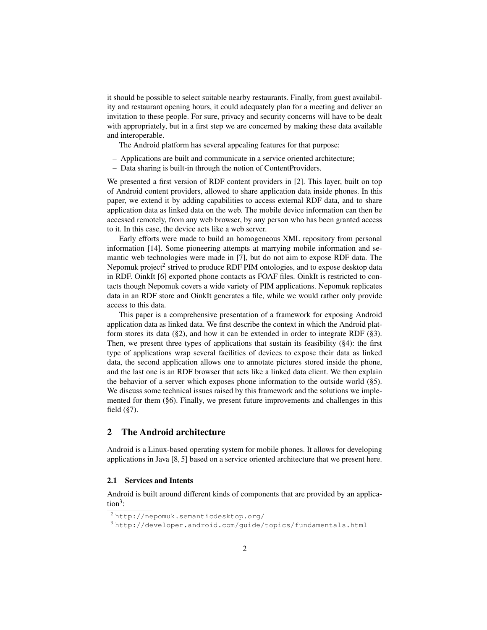it should be possible to select suitable nearby restaurants. Finally, from guest availability and restaurant opening hours, it could adequately plan for a meeting and deliver an invitation to these people. For sure, privacy and security concerns will have to be dealt with appropriately, but in a first step we are concerned by making these data available and interoperable.

The Android platform has several appealing features for that purpose:

- Applications are built and communicate in a service oriented architecture;
- Data sharing is built-in through the notion of ContentProviders.

We presented a first version of RDF content providers in [2]. This layer, built on top of Android content providers, allowed to share application data inside phones. In this paper, we extend it by adding capabilities to access external RDF data, and to share application data as linked data on the web. The mobile device information can then be accessed remotely, from any web browser, by any person who has been granted access to it. In this case, the device acts like a web server.

Early efforts were made to build an homogeneous XML repository from personal information [14]. Some pioneering attempts at marrying mobile information and semantic web technologies were made in [7], but do not aim to expose RDF data. The Nepomuk project<sup>2</sup> strived to produce RDF PIM ontologies, and to expose desktop data in RDF. OinkIt [6] exported phone contacts as FOAF files. OinkIt is restricted to contacts though Nepomuk covers a wide variety of PIM applications. Nepomuk replicates data in an RDF store and OinkIt generates a file, while we would rather only provide access to this data.

This paper is a comprehensive presentation of a framework for exposing Android application data as linked data. We first describe the context in which the Android platform stores its data  $(\S 2)$ , and how it can be extended in order to integrate RDF  $(\S 3)$ . Then, we present three types of applications that sustain its feasibility (§4): the first type of applications wrap several facilities of devices to expose their data as linked data, the second application allows one to annotate pictures stored inside the phone, and the last one is an RDF browser that acts like a linked data client. We then explain the behavior of a server which exposes phone information to the outside world (§5). We discuss some technical issues raised by this framework and the solutions we implemented for them (§6). Finally, we present future improvements and challenges in this field (§7).

## 2 The Android architecture

Android is a Linux-based operating system for mobile phones. It allows for developing applications in Java [8, 5] based on a service oriented architecture that we present here.

#### 2.1 Services and Intents

Android is built around different kinds of components that are provided by an applica- $\text{tion}^3$ :

<sup>2</sup> http://nepomuk.semanticdesktop.org/

<sup>3</sup> http://developer.android.com/guide/topics/fundamentals.html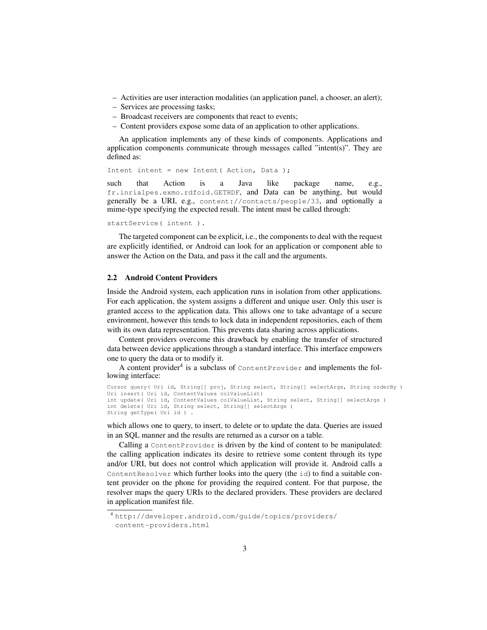- Activities are user interaction modalities (an application panel, a chooser, an alert);
- Services are processing tasks;
- Broadcast receivers are components that react to events;
- Content providers expose some data of an application to other applications.

An application implements any of these kinds of components. Applications and application components communicate through messages called "intent(s)". They are defined as:

Intent intent = new Intent( Action, Data );

such that Action is a Java like package name, e.g., fr.inrialpes.exmo.rdfoid.GETRDF, and Data can be anything, but would generally be a URI, e.g., content://contacts/people/33, and optionally a mime-type specifying the expected result. The intent must be called through:

startService( intent ).

The targeted component can be explicit, i.e., the components to deal with the request are explicitly identified, or Android can look for an application or component able to answer the Action on the Data, and pass it the call and the arguments.

#### 2.2 Android Content Providers

Inside the Android system, each application runs in isolation from other applications. For each application, the system assigns a different and unique user. Only this user is granted access to the application data. This allows one to take advantage of a secure environment, however this tends to lock data in independent repositories, each of them with its own data representation. This prevents data sharing across applications.

Content providers overcome this drawback by enabling the transfer of structured data between device applications through a standard interface. This interface empowers one to query the data or to modify it.

A content provider<sup>4</sup> is a subclass of ContentProvider and implements the following interface:

```
Cursor query( Uri id, String[] proj, String select, String[] selectArgs, String orderBy )
Uri insert (Uri id, ContentValues colValueList)
int update( Uri id, ContentValues colValueList, String select, String[] selectArgs )
int delete( Uri id, String select, String[] selectArgs )
String getType( Uri id ) .
```
which allows one to query, to insert, to delete or to update the data. Queries are issued in an SQL manner and the results are returned as a cursor on a table.

Calling a ContentProvider is driven by the kind of content to be manipulated: the calling application indicates its desire to retrieve some content through its type and/or URI, but does not control which application will provide it. Android calls a ContentResolver which further looks into the query (the id) to find a suitable content provider on the phone for providing the required content. For that purpose, the resolver maps the query URIs to the declared providers. These providers are declared in application manifest file.

<sup>4</sup> http://developer.android.com/guide/topics/providers/ content-providers.html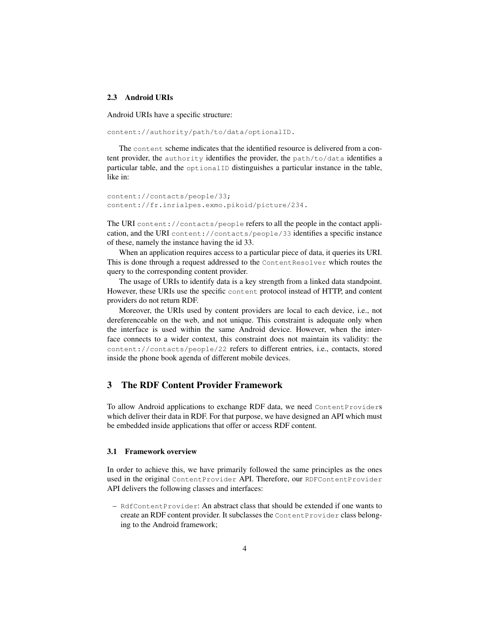#### 2.3 Android URIs

Android URIs have a specific structure:

content://authority/path/to/data/optionalID.

The content scheme indicates that the identified resource is delivered from a content provider, the authority identifies the provider, the path/to/data identifies a particular table, and the optionalID distinguishes a particular instance in the table, like in:

```
content://contacts/people/33;
content://fr.inrialpes.exmo.pikoid/picture/234.
```
The URI content://contacts/people refers to all the people in the contact application, and the URI content://contacts/people/33 identifies a specific instance of these, namely the instance having the id 33.

When an application requires access to a particular piece of data, it queries its URI. This is done through a request addressed to the ContentResolver which routes the query to the corresponding content provider.

The usage of URIs to identify data is a key strength from a linked data standpoint. However, these URIs use the specific content protocol instead of HTTP, and content providers do not return RDF.

Moreover, the URIs used by content providers are local to each device, i.e., not dereferenceable on the web, and not unique. This constraint is adequate only when the interface is used within the same Android device. However, when the interface connects to a wider context, this constraint does not maintain its validity: the content://contacts/people/22 refers to different entries, i.e., contacts, stored inside the phone book agenda of different mobile devices.

## 3 The RDF Content Provider Framework

To allow Android applications to exchange RDF data, we need ContentProviders which deliver their data in RDF. For that purpose, we have designed an API which must be embedded inside applications that offer or access RDF content.

#### 3.1 Framework overview

In order to achieve this, we have primarily followed the same principles as the ones used in the original ContentProvider API. Therefore, our RDFContentProvider API delivers the following classes and interfaces:

– RdfContentProvider: An abstract class that should be extended if one wants to create an RDF content provider. It subclasses the ContentProvider class belonging to the Android framework;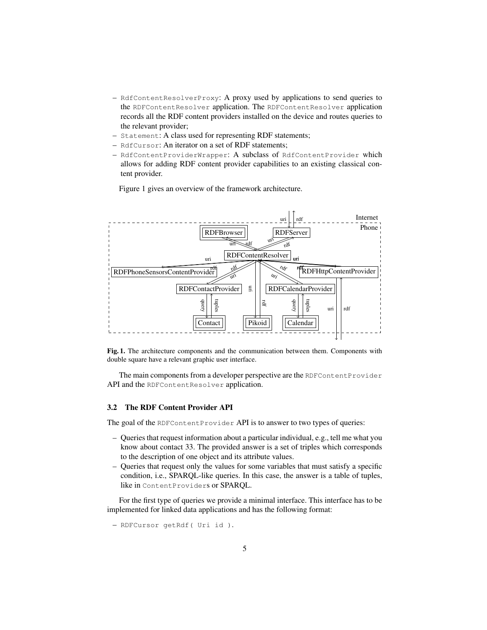- RdfContentResolverProxy: A proxy used by applications to send queries to the RDFContentResolver application. The RDFContentResolver application records all the RDF content providers installed on the device and routes queries to the relevant provider;
- Statement: A class used for representing RDF statements;
- RdfCursor: An iterator on a set of RDF statements;
- RdfContentProviderWrapper: A subclass of RdfContentProvider which allows for adding RDF content provider capabilities to an existing classical content provider.

Figure 1 gives an overview of the framework architecture.



Fig. 1. The architecture components and the communication between them. Components with double square have a relevant graphic user interface.

The main components from a developer perspective are the RDFContentProvider API and the RDFContentResolver application.

#### 3.2 The RDF Content Provider API

The goal of the RDFContentProvider API is to answer to two types of queries:

- Queries that request information about a particular individual, e.g., tell me what you know about contact 33. The provided answer is a set of triples which corresponds to the description of one object and its attribute values.
- Queries that request only the values for some variables that must satisfy a specific condition, i.e., SPARQL-like queries. In this case, the answer is a table of tuples, like in ContentProviders or SPARQL.

For the first type of queries we provide a minimal interface. This interface has to be implemented for linked data applications and has the following format:

```
– RDFCursor getRdf( Uri id ).
```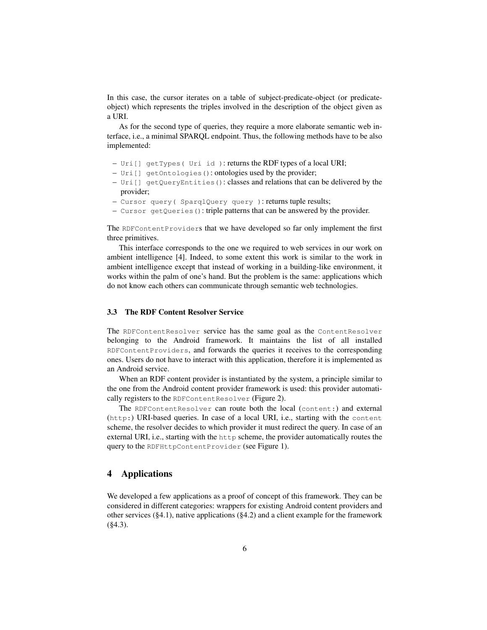In this case, the cursor iterates on a table of subject-predicate-object (or predicateobject) which represents the triples involved in the description of the object given as a URI.

As for the second type of queries, they require a more elaborate semantic web interface, i.e., a minimal SPARQL endpoint. Thus, the following methods have to be also implemented:

- Uri[] getTypes( Uri id ): returns the RDF types of a local URI;
- Uri[] getOntologies(): ontologies used by the provider;
- $-$  Uri[] getQueryEntities(): classes and relations that can be delivered by the provider;
- Cursor query( SparqlQuery query ): returns tuple results;
- Cursor getQueries(): triple patterns that can be answered by the provider.

The RDFContentProviders that we have developed so far only implement the first three primitives.

This interface corresponds to the one we required to web services in our work on ambient intelligence [4]. Indeed, to some extent this work is similar to the work in ambient intelligence except that instead of working in a building-like environment, it works within the palm of one's hand. But the problem is the same: applications which do not know each others can communicate through semantic web technologies.

#### 3.3 The RDF Content Resolver Service

The RDFContentResolver service has the same goal as the ContentResolver belonging to the Android framework. It maintains the list of all installed RDFContentProviders, and forwards the queries it receives to the corresponding ones. Users do not have to interact with this application, therefore it is implemented as an Android service.

When an RDF content provider is instantiated by the system, a principle similar to the one from the Android content provider framework is used: this provider automatically registers to the RDFContentResolver (Figure 2).

The RDFContentResolver can route both the local (content:) and external (http:) URI-based queries. In case of a local URI, i.e., starting with the content scheme, the resolver decides to which provider it must redirect the query. In case of an external URI, i.e., starting with the http scheme, the provider automatically routes the query to the RDFHttpContentProvider (see Figure 1).

## 4 Applications

We developed a few applications as a proof of concept of this framework. They can be considered in different categories: wrappers for existing Android content providers and other services (§4.1), native applications (§4.2) and a client example for the framework (§4.3).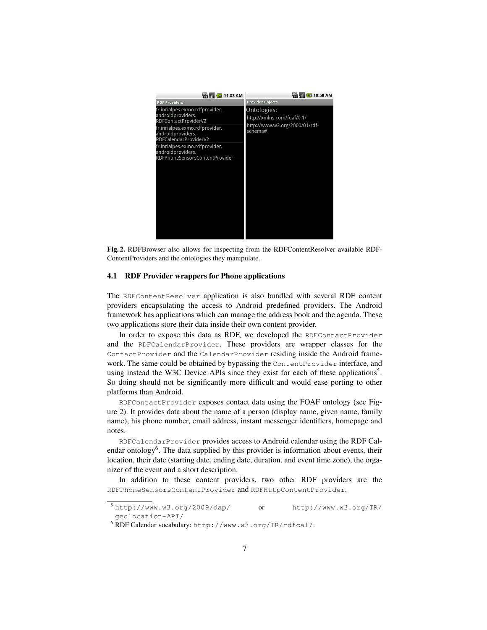| <b>ES MIC</b> 11:03 AM                                                                | <b>2</b> 10:58 AM                         |
|---------------------------------------------------------------------------------------|-------------------------------------------|
| <b>RDF Providers</b>                                                                  | <b>Provider Objects</b>                   |
| fr.inrialpes.exmo.rdfprovider.<br>androidproviders.<br>RDFContactProviderV2           | Ontologies:<br>http://xmlns.com/foaf/0.1/ |
| fr.inrialpes.exmo.rdfprovider.<br>androidproviders.<br>RDFCalendarProviderV2          | http://www.w3.org/2000/01/rdf-<br>schema# |
| fr.inrialpes.exmo.rdfprovider.<br>androidproviders.<br>RDFPhoneSensorsContentProvider |                                           |
|                                                                                       |                                           |
|                                                                                       |                                           |

Fig. 2. RDFBrowser also allows for inspecting from the RDFContentResolver available RDF-ContentProviders and the ontologies they manipulate.

#### 4.1 RDF Provider wrappers for Phone applications

The RDFContentResolver application is also bundled with several RDF content providers encapsulating the access to Android predefined providers. The Android framework has applications which can manage the address book and the agenda. These two applications store their data inside their own content provider.

In order to expose this data as RDF, we developed the RDFContactProvider and the RDFCalendarProvider. These providers are wrapper classes for the ContactProvider and the CalendarProvider residing inside the Android framework. The same could be obtained by bypassing the ContentProvider interface, and using instead the W3C Device APIs since they exist for each of these applications<sup>5</sup>. So doing should not be significantly more difficult and would ease porting to other platforms than Android.

RDFContactProvider exposes contact data using the FOAF ontology (see Figure 2). It provides data about the name of a person (display name, given name, family name), his phone number, email address, instant messenger identifiers, homepage and notes.

RDFCalendarProvider provides access to Android calendar using the RDF Calendar ontology<sup>6</sup>. The data supplied by this provider is information about events, their location, their date (starting date, ending date, duration, and event time zone), the organizer of the event and a short description.

In addition to these content providers, two other RDF providers are the RDFPhoneSensorsContentProvider and RDFHttpContentProvider.

<sup>5</sup> http://www.w3.org/2009/dap/ or http://www.w3.org/TR/ geolocation-API/

<sup>6</sup> RDF Calendar vocabulary: http://www.w3.org/TR/rdfcal/.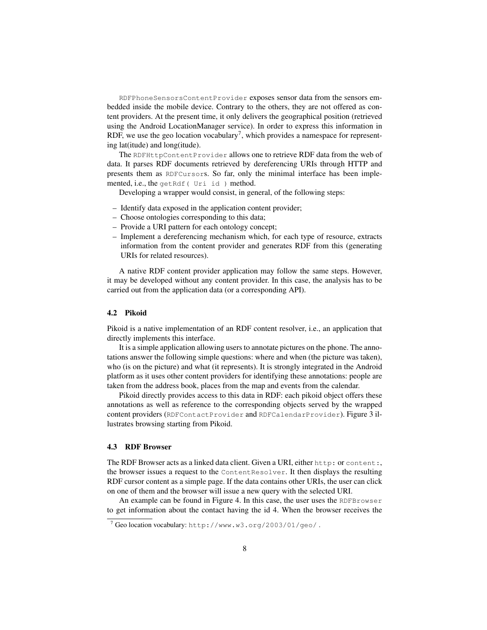RDFPhoneSensorsContentProvider exposes sensor data from the sensors embedded inside the mobile device. Contrary to the others, they are not offered as content providers. At the present time, it only delivers the geographical position (retrieved using the Android LocationManager service). In order to express this information in RDF, we use the geo location vocabulary<sup>7</sup>, which provides a namespace for representing lat(itude) and long(itude).

The RDFHttpContentProvider allows one to retrieve RDF data from the web of data. It parses RDF documents retrieved by dereferencing URIs through HTTP and presents them as RDFCursors. So far, only the minimal interface has been implemented, i.e., the getRdf( Uri id ) method.

Developing a wrapper would consist, in general, of the following steps:

- Identify data exposed in the application content provider;
- Choose ontologies corresponding to this data;
- Provide a URI pattern for each ontology concept;
- Implement a dereferencing mechanism which, for each type of resource, extracts information from the content provider and generates RDF from this (generating URIs for related resources).

A native RDF content provider application may follow the same steps. However, it may be developed without any content provider. In this case, the analysis has to be carried out from the application data (or a corresponding API).

#### 4.2 Pikoid

Pikoid is a native implementation of an RDF content resolver, i.e., an application that directly implements this interface.

It is a simple application allowing users to annotate pictures on the phone. The annotations answer the following simple questions: where and when (the picture was taken), who (is on the picture) and what (it represents). It is strongly integrated in the Android platform as it uses other content providers for identifying these annotations: people are taken from the address book, places from the map and events from the calendar.

Pikoid directly provides access to this data in RDF: each pikoid object offers these annotations as well as reference to the corresponding objects served by the wrapped content providers (RDFContactProvider and RDFCalendarProvider). Figure 3 illustrates browsing starting from Pikoid.

#### 4.3 RDF Browser

The RDF Browser acts as a linked data client. Given a URI, either http: or content:, the browser issues a request to the ContentResolver. It then displays the resulting RDF cursor content as a simple page. If the data contains other URIs, the user can click on one of them and the browser will issue a new query with the selected URI.

An example can be found in Figure 4. In this case, the user uses the RDFBrowser to get information about the contact having the id 4. When the browser receives the

<sup>7</sup> Geo location vocabulary: http://www.w3.org/2003/01/geo/ .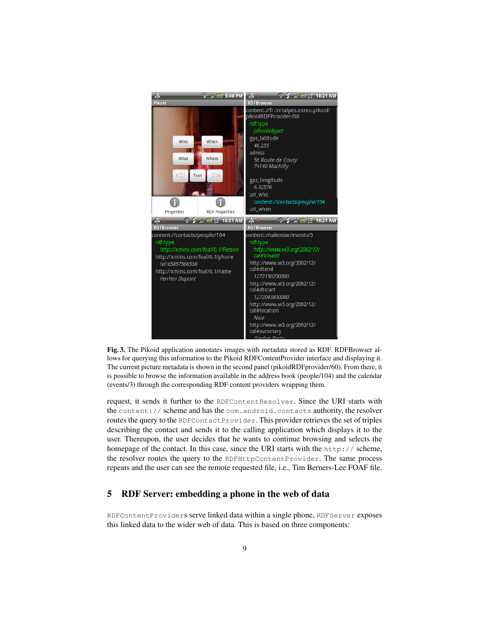

Fig. 3. The Pikoid application annotates images with metadata stored as RDF. RDFBrowser allows for querying this information to the Pikoid RDFContentProvider interface and displaying it. The current picture metadata is shown in the second panel (pikoidRDFprovider/60). From there, it is possible to browse the information available in the address book (people/104) and the calendar (events/3) through the corresponding RDF content providers wrapping them.

request, it sends it further to the RDFContentResolver. Since the URI starts with the content:// scheme and has the com.android.contacts authority, the resolver routes the query to the RDFContactProvider. This provider retrieves the set of triples describing the contact and sends it to the calling application which displays it to the user. Thereupon, the user decides that he wants to continue browsing and selects the homepage of the contact. In this case, since the URI starts with the http:// scheme, the resolver routes the query to the RDFHttpContentProvider. The same process repeats and the user can see the remote requested file, i.e., Tim Berners-Lee FOAF file.

## 5 RDF Server: embedding a phone in the web of data

RDFContentProviders serve linked data within a single phone, RDFServer exposes this linked data to the wider web of data. This is based on three components: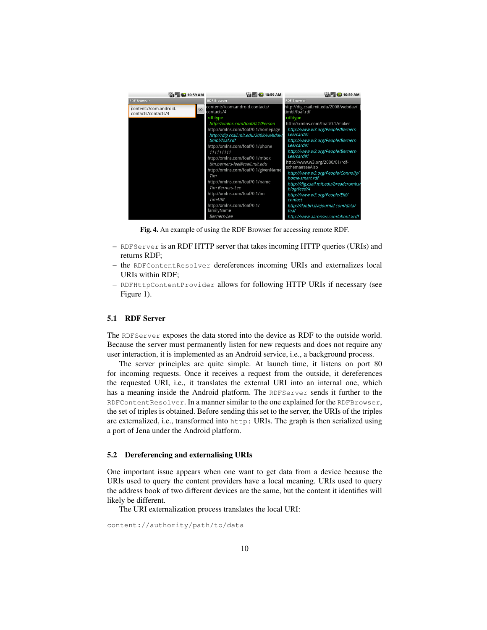

Fig. 4. An example of using the RDF Browser for accessing remote RDF.

- RDFServer is an RDF HTTP server that takes incoming HTTP queries (URIs) and returns RDF;
- the RDFContentResolver dereferences incoming URIs and externalizes local URIs within RDF;
- RDFHttpContentProvider allows for following HTTP URIs if necessary (see Figure 1).

#### 5.1 RDF Server

The RDFServer exposes the data stored into the device as RDF to the outside world. Because the server must permanently listen for new requests and does not require any user interaction, it is implemented as an Android service, i.e., a background process.

The server principles are quite simple. At launch time, it listens on port 80 for incoming requests. Once it receives a request from the outside, it dereferences the requested URI, i.e., it translates the external URI into an internal one, which has a meaning inside the Android platform. The RDFServer sends it further to the RDFContentResolver. In a manner similar to the one explained for the RDFBrowser, the set of triples is obtained. Before sending this set to the server, the URIs of the triples are externalized, i.e., transformed into http: URIs. The graph is then serialized using a port of Jena under the Android platform.

#### 5.2 Dereferencing and externalising URIs

One important issue appears when one want to get data from a device because the URIs used to query the content providers have a local meaning. URIs used to query the address book of two different devices are the same, but the content it identifies will likely be different.

The URI externalization process translates the local URI:

content://authority/path/to/data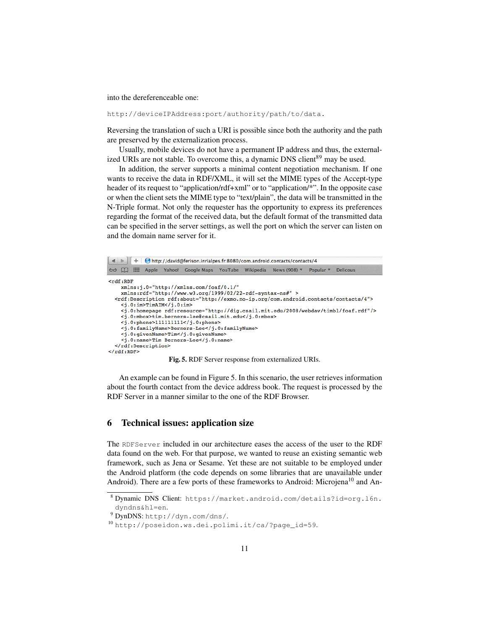into the dereferenceable one:

http://deviceIPAddress:port/authority/path/to/data.

Reversing the translation of such a URI is possible since both the authority and the path are preserved by the externalization process.

Usually, mobile devices do not have a permanent IP address and thus, the externalized URIs are not stable. To overcome this, a dynamic DNS client<sup>89</sup> may be used.

In addition, the server supports a minimal content negotiation mechanism. If one wants to receive the data in RDF/XML, it will set the MIME types of the Accept-type header of its request to "application/rdf+xml" or to "application/\*". In the opposite case or when the client sets the MIME type to "text/plain", the data will be transmitted in the N-Triple format. Not only the requester has the opportunity to express its preferences regarding the format of the received data, but the default format of the transmitted data can be specified in the server settings, as well the port on which the server can listen on and the domain name server for it.

| $+$   $\Theta$ http://david@ferison.inrialpes.fr:8080/com.android.contacts/contacts/4 |                                    |   |  |                                                                                   |                                                                                                                                                                                                                                                                                                                            |  |           |                           |                        |                                                                                                                                                                                                   |  |
|---------------------------------------------------------------------------------------|------------------------------------|---|--|-----------------------------------------------------------------------------------|----------------------------------------------------------------------------------------------------------------------------------------------------------------------------------------------------------------------------------------------------------------------------------------------------------------------------|--|-----------|---------------------------|------------------------|---------------------------------------------------------------------------------------------------------------------------------------------------------------------------------------------------|--|
| ఈ                                                                                     |                                    | 噩 |  |                                                                                   | Apple Yahoo! Google Maps YouTube                                                                                                                                                                                                                                                                                           |  | Wikipedia | News (908) $\overline{v}$ | Popular $\overline{v}$ | <b>Delicous</b>                                                                                                                                                                                   |  |
|                                                                                       | $<$ rdf:RDF<br>$\langle$ /rdf:RDF> |   |  | $\langle i.0\text{:}im\text{-}\text{TimAIN}\text{-}\text{/}i.0\text{:}im\text{-}$ | xmlns:j.0="http://xmlns.com/foaf/0.1/"<br>xmlns:rdf="http://www.w3.org/1999/02/22-rdf-syntax-ns#" ><br><i.0:mbox>tim.berners-lee@csail.mit.edu</i.0:mbox><br>$\langle i.0:$ phone>111111111<br><j.0:familyname>Berners-Lee</j.0:familyname><br><i.0:givenname>Tim<br/><j.0:name>Tim Berners-Lee</j.0:name></i.0:givenname> |  |           |                           |                        | <rdf:description rdf:about="http://exmo.no-ip.org/com.android.contacts/contacts/4"><br/>&lt;).19thomepage rdf:resource="http://dig.csail.mit.edu/2008/webdav/timbl/foaf.rdf&gt;</rdf:description> |  |

Fig. 5. RDF Server response from externalized URIs.

An example can be found in Figure 5. In this scenario, the user retrieves information about the fourth contact from the device address book. The request is processed by the RDF Server in a manner similar to the one of the RDF Browser.

## 6 Technical issues: application size

The RDFServer included in our architecture eases the access of the user to the RDF data found on the web. For that purpose, we wanted to reuse an existing semantic web framework, such as Jena or Sesame. Yet these are not suitable to be employed under the Android platform (the code depends on some libraries that are unavailable under Android). There are a few ports of these frameworks to Android: Microjena<sup>10</sup> and An-

<sup>8</sup> Dynamic DNS Client: https://market.android.com/details?id=org.l6n. dyndns&hl=en.

<sup>9</sup> DynDNS: http://dyn.com/dns/.

<sup>10</sup> http://poseidon.ws.dei.polimi.it/ca/?page\_id=59.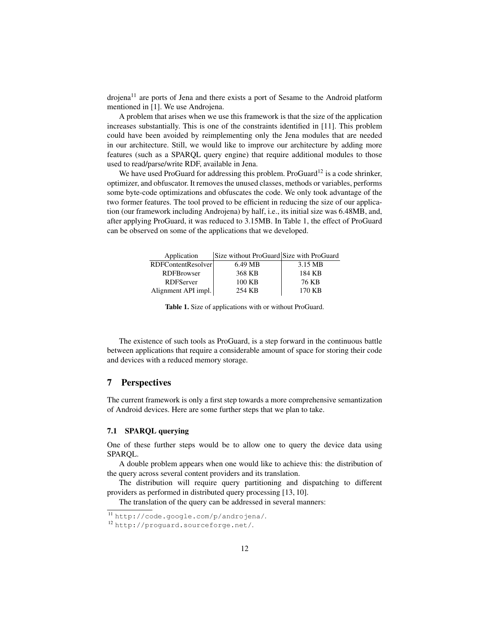drojena $11$  are ports of Jena and there exists a port of Sesame to the Android platform mentioned in [1]. We use Androjena.

A problem that arises when we use this framework is that the size of the application increases substantially. This is one of the constraints identified in [11]. This problem could have been avoided by reimplementing only the Jena modules that are needed in our architecture. Still, we would like to improve our architecture by adding more features (such as a SPARQL query engine) that require additional modules to those used to read/parse/write RDF, available in Jena.

We have used ProGuard for addressing this problem. ProGuard<sup>12</sup> is a code shrinker, optimizer, and obfuscator. It removes the unused classes, methods or variables, performs some byte-code optimizations and obfuscates the code. We only took advantage of the two former features. The tool proved to be efficient in reducing the size of our application (our framework including Androjena) by half, i.e., its initial size was 6.48MB, and, after applying ProGuard, it was reduced to 3.15MB. In Table 1, the effect of ProGuard can be observed on some of the applications that we developed.

| Application         | Size without ProGuard Size with ProGuard |         |
|---------------------|------------------------------------------|---------|
| RDFContentResolver  | 6.49 MB                                  | 3.15 MB |
| <b>RDFBrowser</b>   | 368 KB                                   | 184 KB  |
| <b>RDFServer</b>    | 100 KB                                   | 76 KB   |
| Alignment API impl. | 254 KB                                   | 170 KB  |

Table 1. Size of applications with or without ProGuard.

The existence of such tools as ProGuard, is a step forward in the continuous battle between applications that require a considerable amount of space for storing their code and devices with a reduced memory storage.

## 7 Perspectives

The current framework is only a first step towards a more comprehensive semantization of Android devices. Here are some further steps that we plan to take.

#### 7.1 SPARQL querying

One of these further steps would be to allow one to query the device data using SPARQL.

A double problem appears when one would like to achieve this: the distribution of the query across several content providers and its translation.

The distribution will require query partitioning and dispatching to different providers as performed in distributed query processing [13, 10].

The translation of the query can be addressed in several manners:

<sup>11</sup> http://code.google.com/p/androjena/.

<sup>12</sup> http://proguard.sourceforge.net/.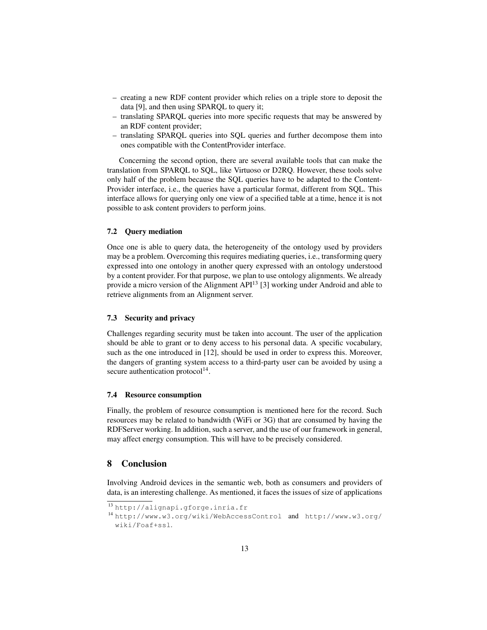- creating a new RDF content provider which relies on a triple store to deposit the data [9], and then using SPARQL to query it;
- translating SPARQL queries into more specific requests that may be answered by an RDF content provider;
- translating SPARQL queries into SQL queries and further decompose them into ones compatible with the ContentProvider interface.

Concerning the second option, there are several available tools that can make the translation from SPARQL to SQL, like Virtuoso or D2RQ. However, these tools solve only half of the problem because the SQL queries have to be adapted to the Content-Provider interface, i.e., the queries have a particular format, different from SQL. This interface allows for querying only one view of a specified table at a time, hence it is not possible to ask content providers to perform joins.

## 7.2 Query mediation

Once one is able to query data, the heterogeneity of the ontology used by providers may be a problem. Overcoming this requires mediating queries, i.e., transforming query expressed into one ontology in another query expressed with an ontology understood by a content provider. For that purpose, we plan to use ontology alignments. We already provide a micro version of the Alignment API<sup>13</sup> [3] working under Android and able to retrieve alignments from an Alignment server.

#### 7.3 Security and privacy

Challenges regarding security must be taken into account. The user of the application should be able to grant or to deny access to his personal data. A specific vocabulary, such as the one introduced in [12], should be used in order to express this. Moreover, the dangers of granting system access to a third-party user can be avoided by using a secure authentication protocol $14$ .

#### 7.4 Resource consumption

Finally, the problem of resource consumption is mentioned here for the record. Such resources may be related to bandwidth (WiFi or 3G) that are consumed by having the RDFServer working. In addition, such a server, and the use of our framework in general, may affect energy consumption. This will have to be precisely considered.

## 8 Conclusion

Involving Android devices in the semantic web, both as consumers and providers of data, is an interesting challenge. As mentioned, it faces the issues of size of applications

<sup>13</sup> http://alignapi.gforge.inria.fr

<sup>14</sup> http://www.w3.org/wiki/WebAccessControl and http://www.w3.org/ wiki/Foaf+ssl.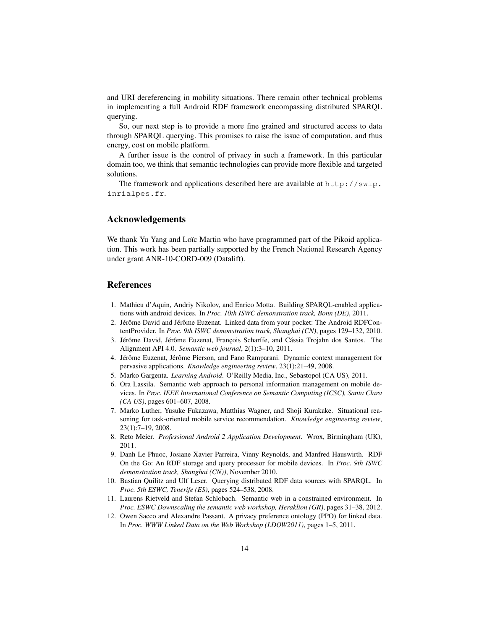and URI dereferencing in mobility situations. There remain other technical problems in implementing a full Android RDF framework encompassing distributed SPARQL querying.

So, our next step is to provide a more fine grained and structured access to data through SPARQL querying. This promises to raise the issue of computation, and thus energy, cost on mobile platform.

A further issue is the control of privacy in such a framework. In this particular domain too, we think that semantic technologies can provide more flexible and targeted solutions.

The framework and applications described here are available at http://swip. inrialpes.fr.

## Acknowledgements

We thank Yu Yang and Loïc Martin who have programmed part of the Pikoid application. This work has been partially supported by the French National Research Agency under grant ANR-10-CORD-009 (Datalift).

## References

- 1. Mathieu d'Aquin, Andriy Nikolov, and Enrico Motta. Building SPARQL-enabled applications with android devices. In *Proc. 10th ISWC demonstration track, Bonn (DE)*, 2011.
- 2. Jérôme David and Jérôme Euzenat. Linked data from your pocket: The Android RDFContentProvider. In *Proc. 9th ISWC demonstration track, Shanghai (CN)*, pages 129–132, 2010.
- 3. Jérôme David, Jérôme Euzenat, François Scharffe, and Cássia Trojahn dos Santos. The Alignment API 4.0. *Semantic web journal*, 2(1):3–10, 2011.
- 4. Jérôme Euzenat, Jérôme Pierson, and Fano Ramparani. Dynamic context management for pervasive applications. *Knowledge engineering review*, 23(1):21–49, 2008.
- 5. Marko Gargenta. *Learning Android*. O'Reilly Media, Inc., Sebastopol (CA US), 2011.
- 6. Ora Lassila. Semantic web approach to personal information management on mobile devices. In *Proc. IEEE International Conference on Semantic Computing (ICSC), Santa Clara (CA US)*, pages 601–607, 2008.
- 7. Marko Luther, Yusuke Fukazawa, Matthias Wagner, and Shoji Kurakake. Situational reasoning for task-oriented mobile service recommendation. *Knowledge engineering review*, 23(1):7–19, 2008.
- 8. Reto Meier. *Professional Android 2 Application Development*. Wrox, Birmingham (UK), 2011.
- 9. Danh Le Phuoc, Josiane Xavier Parreira, Vinny Reynolds, and Manfred Hauswirth. RDF On the Go: An RDF storage and query processor for mobile devices. In *Proc. 9th ISWC demonstration track, Shanghai (CN))*, November 2010.
- 10. Bastian Quilitz and Ulf Leser. Querying distributed RDF data sources with SPARQL. In *Proc. 5th ESWC, Tenerife (ES)*, pages 524–538, 2008.
- 11. Laurens Rietveld and Stefan Schlobach. Semantic web in a constrained environment. In *Proc. ESWC Downscaling the semantic web workshop, Heraklion (GR)*, pages 31–38, 2012.
- 12. Owen Sacco and Alexandre Passant. A privacy preference ontology (PPO) for linked data. In *Proc. WWW Linked Data on the Web Workshop (LDOW2011)*, pages 1–5, 2011.